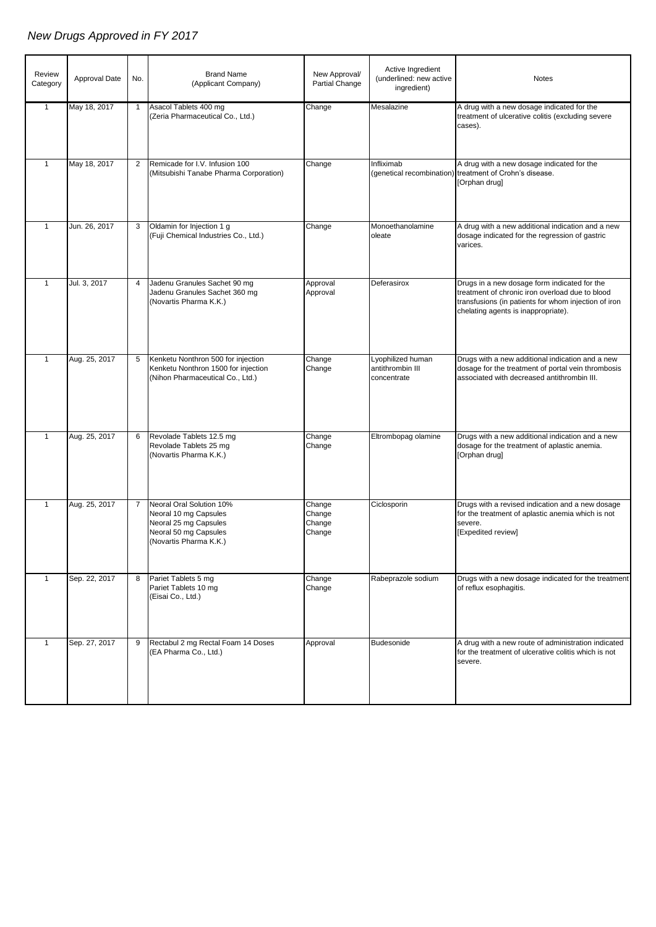## *New Drugs Approved in FY 2017*

| Review<br>Category | Approval Date | No.            | <b>Brand Name</b><br>(Applicant Company)                                                                                        | New Approval/<br>Partial Change      | Active Ingredient<br>(underlined: new active<br>ingredient) | Notes                                                                                                                                                                                          |
|--------------------|---------------|----------------|---------------------------------------------------------------------------------------------------------------------------------|--------------------------------------|-------------------------------------------------------------|------------------------------------------------------------------------------------------------------------------------------------------------------------------------------------------------|
| $\mathbf{1}$       | May 18, 2017  | $\mathbf{1}$   | Asacol Tablets 400 mg<br>(Zeria Pharmaceutical Co., Ltd.)                                                                       | Change                               | Mesalazine                                                  | A drug with a new dosage indicated for the<br>treatment of ulcerative colitis (excluding severe<br>cases).                                                                                     |
| $\mathbf{1}$       | May 18, 2017  | $\overline{2}$ | Remicade for I.V. Infusion 100<br>(Mitsubishi Tanabe Pharma Corporation)                                                        | Change                               | Infliximab                                                  | A drug with a new dosage indicated for the<br>(genetical recombination) treatment of Crohn's disease.<br>[Orphan drug]                                                                         |
| $\mathbf{1}$       | Jun. 26, 2017 | 3              | Oldamin for Injection 1 g<br>(Fuji Chemical Industries Co., Ltd.)                                                               | Change                               | Monoethanolamine<br>oleate                                  | A drug with a new additional indication and a new<br>dosage indicated for the regression of gastric<br>varices.                                                                                |
| $\mathbf{1}$       | Jul. 3, 2017  | 4              | Jadenu Granules Sachet 90 mg<br>Jadenu Granules Sachet 360 mg<br>(Novartis Pharma K.K.)                                         | Approval<br>Approval                 | Deferasirox                                                 | Drugs in a new dosage form indicated for the<br>treatment of chronic iron overload due to blood<br>transfusions (in patients for whom injection of iron<br>chelating agents is inappropriate). |
| $\mathbf{1}$       | Aug. 25, 2017 | 5              | Kenketu Nonthron 500 for injection<br>Kenketu Nonthron 1500 for injection<br>(Nihon Pharmaceutical Co., Ltd.)                   | Change<br>Change                     | Lyophilized human<br>antithrombin III<br>concentrate        | Drugs with a new additional indication and a new<br>dosage for the treatment of portal vein thrombosis<br>associated with decreased antithrombin III.                                          |
| $\mathbf{1}$       | Aug. 25, 2017 | 6              | Revolade Tablets 12.5 mg<br>Revolade Tablets 25 mg<br>(Novartis Pharma K.K.)                                                    | Change<br>Change                     | Eltrombopag olamine                                         | Drugs with a new additional indication and a new<br>dosage for the treatment of aplastic anemia.<br>[Orphan drug]                                                                              |
| $\mathbf{1}$       | Aug. 25, 2017 |                | 7 Neoral Oral Solution 10%<br>Neoral 10 mg Capsules<br>Neoral 25 mg Capsules<br>Neoral 50 mg Capsules<br>(Novartis Pharma K.K.) | Change<br>Change<br>Change<br>Change | Ciclosporin                                                 | Drugs with a revised indication and a new dosage<br>for the treatment of aplastic anemia which is not<br>severe.<br>[Expedited review]                                                         |
| $\mathbf{1}$       | Sep. 22, 2017 | 8              | Pariet Tablets 5 mg<br>Pariet Tablets 10 mg<br>(Eisai Co., Ltd.)                                                                | Change<br>Change                     | Rabeprazole sodium                                          | Drugs with a new dosage indicated for the treatment<br>of reflux esophagitis.                                                                                                                  |
| $\mathbf{1}$       | Sep. 27, 2017 | 9              | Rectabul 2 mg Rectal Foam 14 Doses<br>(EA Pharma Co., Ltd.)                                                                     | Approval                             | Budesonide                                                  | A drug with a new route of administration indicated<br>for the treatment of ulcerative colitis which is not<br>severe.                                                                         |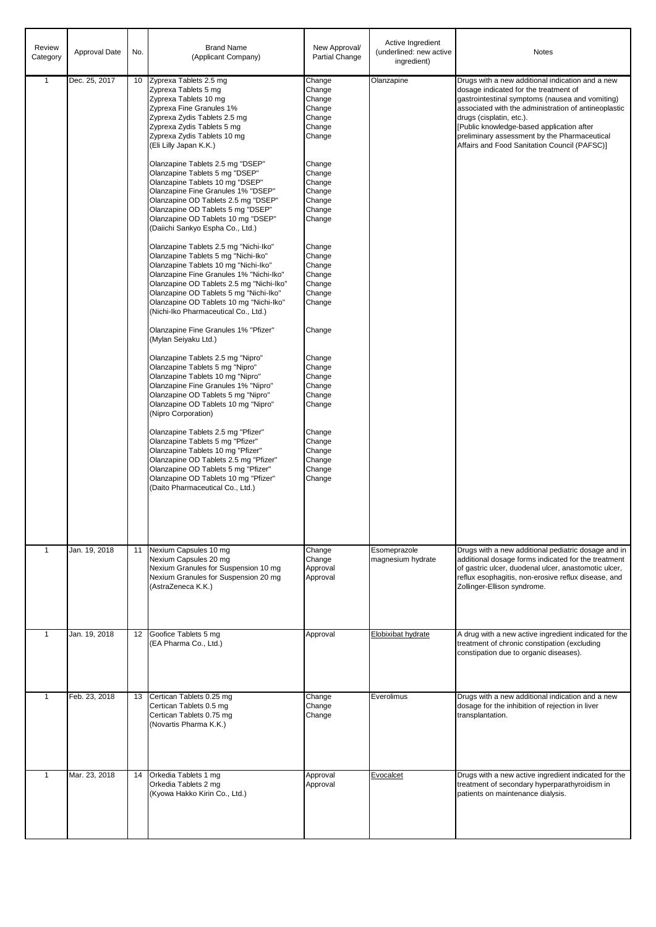| Review<br>Category | Approval Date | No. | <b>Brand Name</b><br>(Applicant Company)                                                                                                                                                                                                                                                                                                                                                                                                                                                                                                                                                                                                                                                                                                                                                                                                                                                                                                                                                                                                                                                                                                                                                                                                                                                                                                                                                                                                                                         | New Approval/<br>Partial Change                                                                                                                                                                                                                                                                                                                  | Active Ingredient<br>(underlined: new active<br>ingredient) | Notes                                                                                                                                                                                                                                                                                                                                                                         |
|--------------------|---------------|-----|----------------------------------------------------------------------------------------------------------------------------------------------------------------------------------------------------------------------------------------------------------------------------------------------------------------------------------------------------------------------------------------------------------------------------------------------------------------------------------------------------------------------------------------------------------------------------------------------------------------------------------------------------------------------------------------------------------------------------------------------------------------------------------------------------------------------------------------------------------------------------------------------------------------------------------------------------------------------------------------------------------------------------------------------------------------------------------------------------------------------------------------------------------------------------------------------------------------------------------------------------------------------------------------------------------------------------------------------------------------------------------------------------------------------------------------------------------------------------------|--------------------------------------------------------------------------------------------------------------------------------------------------------------------------------------------------------------------------------------------------------------------------------------------------------------------------------------------------|-------------------------------------------------------------|-------------------------------------------------------------------------------------------------------------------------------------------------------------------------------------------------------------------------------------------------------------------------------------------------------------------------------------------------------------------------------|
| $\mathbf{1}$       | Dec. 25, 2017 |     | 10 Zyprexa Tablets 2.5 mg<br>Zyprexa Tablets 5 mg<br>Zyprexa Tablets 10 mg<br>Zyprexa Fine Granules 1%<br>Zyprexa Zydis Tablets 2.5 mg<br>Zyprexa Zydis Tablets 5 mg<br>Zyprexa Zydis Tablets 10 mg<br>(Eli Lilly Japan K.K.)<br>Olanzapine Tablets 2.5 mg "DSEP"<br>Olanzapine Tablets 5 mg "DSEP"<br>Olanzapine Tablets 10 mg "DSEP"<br>Olanzapine Fine Granules 1% "DSEP"<br>Olanzapine OD Tablets 2.5 mg "DSEP"<br>Olanzapine OD Tablets 5 mg "DSEP"<br>Olanzapine OD Tablets 10 mg "DSEP"<br>(Daiichi Sankyo Espha Co., Ltd.)<br>Olanzapine Tablets 2.5 mg "Nichi-Iko"<br>Olanzapine Tablets 5 mg "Nichi-Iko"<br>Olanzapine Tablets 10 mg "Nichi-Iko"<br>Olanzapine Fine Granules 1% "Nichi-Iko"<br>Olanzapine OD Tablets 2.5 mg "Nichi-Iko"<br>Olanzapine OD Tablets 5 mg "Nichi-Iko"<br>Olanzapine OD Tablets 10 mg "Nichi-Iko"<br>(Nichi-Iko Pharmaceutical Co., Ltd.)<br>Olanzapine Fine Granules 1% "Pfizer"<br>(Mylan Seiyaku Ltd.)<br>Olanzapine Tablets 2.5 mg "Nipro"<br>Olanzapine Tablets 5 mg "Nipro"<br>Olanzapine Tablets 10 mg "Nipro"<br>Olanzapine Fine Granules 1% "Nipro"<br>Olanzapine OD Tablets 5 mg "Nipro"<br>Olanzapine OD Tablets 10 mg "Nipro"<br>(Nipro Corporation)<br>Olanzapine Tablets 2.5 mg "Pfizer"<br>Olanzapine Tablets 5 mg "Pfizer"<br>Olanzapine Tablets 10 mg "Pfizer"<br>Olanzapine OD Tablets 2.5 mg "Pfizer"<br>Olanzapine OD Tablets 5 mg "Pfizer"<br>Olanzapine OD Tablets 10 mg "Pfizer"<br>(Daito Pharmaceutical Co., Ltd.) | Change<br>Change<br>Change<br>Change<br>Change<br>Change<br>Change<br>Change<br>Change<br>Change<br>Change<br>Change<br>Change<br>Change<br>Change<br>Change<br>Change<br>Change<br>Change<br>Change<br>Change<br>Change<br>Change<br>Change<br>Change<br>Change<br>Change<br>Change<br>Change<br>Change<br>Change<br>Change<br>Change<br>Change | Olanzapine                                                  | Drugs with a new additional indication and a new<br>dosage indicated for the treatment of<br>gastrointestinal symptoms (nausea and vomiting)<br>associated with the administration of antineoplastic<br>drugs (cisplatin, etc.).<br>[Public knowledge-based application after<br>preliminary assessment by the Pharmaceutical<br>Affairs and Food Sanitation Council (PAFSC)] |
| $\mathbf{1}$       | Jan. 19, 2018 | 11  | Nexium Capsules 10 mg<br>Nexium Capsules 20 mg<br>Nexium Granules for Suspension 10 mg<br>Nexium Granules for Suspension 20 mg<br>(AstraZeneca K.K.)                                                                                                                                                                                                                                                                                                                                                                                                                                                                                                                                                                                                                                                                                                                                                                                                                                                                                                                                                                                                                                                                                                                                                                                                                                                                                                                             | Change<br>Change<br>Approval<br>Approval                                                                                                                                                                                                                                                                                                         | Esomeprazole<br>magnesium hydrate                           | Drugs with a new additional pediatric dosage and in<br>additional dosage forms indicated for the treatment<br>of gastric ulcer, duodenal ulcer, anastomotic ulcer,<br>reflux esophagitis, non-erosive reflux disease, and<br>Zollinger-Ellison syndrome.                                                                                                                      |
| $\mathbf{1}$       | Jan. 19, 2018 | 12  | Goofice Tablets 5 mg<br>(EA Pharma Co., Ltd.)                                                                                                                                                                                                                                                                                                                                                                                                                                                                                                                                                                                                                                                                                                                                                                                                                                                                                                                                                                                                                                                                                                                                                                                                                                                                                                                                                                                                                                    | Approval                                                                                                                                                                                                                                                                                                                                         | Elobixibat hydrate                                          | A drug with a new active ingredient indicated for the<br>treatment of chronic constipation (excluding<br>constipation due to organic diseases).                                                                                                                                                                                                                               |
| $\mathbf{1}$       | Feb. 23, 2018 | 13  | Certican Tablets 0.25 mg<br>Certican Tablets 0.5 mg<br>Certican Tablets 0.75 mg<br>(Novartis Pharma K.K.)                                                                                                                                                                                                                                                                                                                                                                                                                                                                                                                                                                                                                                                                                                                                                                                                                                                                                                                                                                                                                                                                                                                                                                                                                                                                                                                                                                        | Change<br>Change<br>Change                                                                                                                                                                                                                                                                                                                       | Everolimus                                                  | Drugs with a new additional indication and a new<br>dosage for the inhibition of rejection in liver<br>transplantation.                                                                                                                                                                                                                                                       |
| $\mathbf{1}$       | Mar. 23, 2018 | 14  | Orkedia Tablets 1 mg<br>Orkedia Tablets 2 mg<br>(Kyowa Hakko Kirin Co., Ltd.)                                                                                                                                                                                                                                                                                                                                                                                                                                                                                                                                                                                                                                                                                                                                                                                                                                                                                                                                                                                                                                                                                                                                                                                                                                                                                                                                                                                                    | Approval<br>Approval                                                                                                                                                                                                                                                                                                                             | Evocalcet                                                   | Drugs with a new active ingredient indicated for the<br>treatment of secondary hyperparathyroidism in<br>patients on maintenance dialysis.                                                                                                                                                                                                                                    |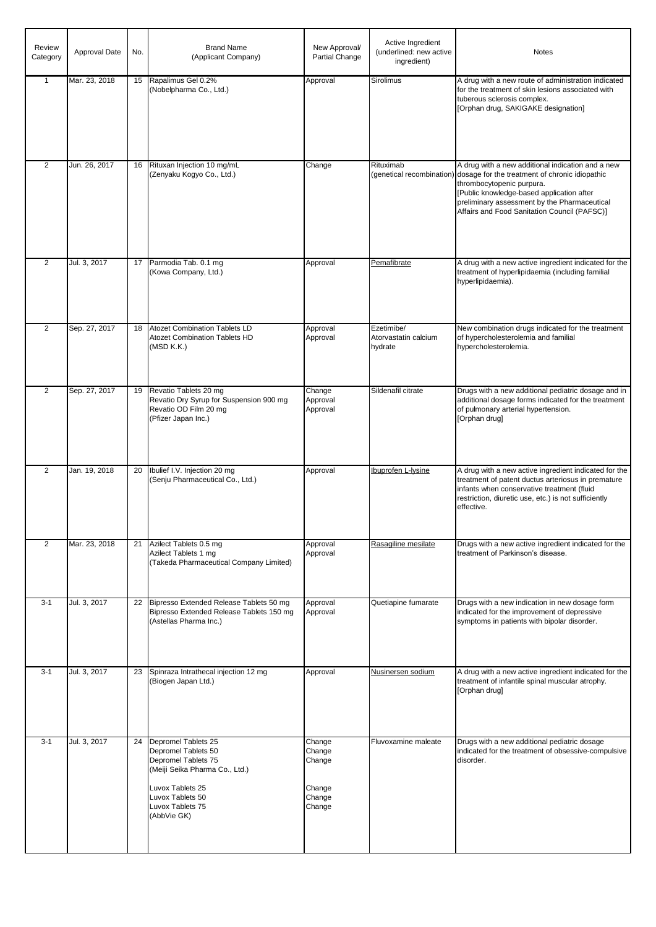| Review<br>Category | Approval Date | No. | <b>Brand Name</b><br>(Applicant Company)                                                                                                                                       | New Approval/<br>Partial Change                          | Active Ingredient<br>(underlined: new active<br>ingredient) | Notes                                                                                                                                                                                                                                                                         |
|--------------------|---------------|-----|--------------------------------------------------------------------------------------------------------------------------------------------------------------------------------|----------------------------------------------------------|-------------------------------------------------------------|-------------------------------------------------------------------------------------------------------------------------------------------------------------------------------------------------------------------------------------------------------------------------------|
| $\mathbf{1}$       | Mar. 23, 2018 | 15  | Rapalimus Gel 0.2%<br>(Nobelpharma Co., Ltd.)                                                                                                                                  | Approval                                                 | Sirolimus                                                   | A drug with a new route of administration indicated<br>for the treatment of skin lesions associated with<br>tuberous sclerosis complex.<br>[Orphan drug, SAKIGAKE designation]                                                                                                |
| $\overline{2}$     | Jun. 26, 2017 | 16  | Rituxan Injection 10 mg/mL<br>(Zenyaku Kogyo Co., Ltd.)                                                                                                                        | Change                                                   | Rituximab<br>(genetical recombination)                      | A drug with a new additional indication and a new<br>dosage for the treatment of chronic idiopathic<br>thrombocytopenic purpura.<br>[Public knowledge-based application after<br>preliminary assessment by the Pharmaceutical<br>Affairs and Food Sanitation Council (PAFSC)] |
| 2                  | Jul. 3, 2017  | 17  | Parmodia Tab. 0.1 mg<br>(Kowa Company, Ltd.)                                                                                                                                   | Approval                                                 | Pemafibrate                                                 | A drug with a new active ingredient indicated for the<br>treatment of hyperlipidaemia (including familial<br>hyperlipidaemia).                                                                                                                                                |
| $\overline{2}$     | Sep. 27, 2017 | 18  | <b>Atozet Combination Tablets LD</b><br>Atozet Combination Tablets HD<br>(MSD K.K.)                                                                                            | Approval<br>Approval                                     | Ezetimibe/<br>Atorvastatin calcium<br>hydrate               | New combination drugs indicated for the treatment<br>of hypercholesterolemia and familial<br>hypercholesterolemia.                                                                                                                                                            |
| 2                  | Sep. 27, 2017 | 19  | Revatio Tablets 20 mg<br>Revatio Dry Syrup for Suspension 900 mg<br>Revatio OD Film 20 mg<br>(Pfizer Japan Inc.)                                                               | Change<br>Approval<br>Approval                           | Sildenafil citrate                                          | Drugs with a new additional pediatric dosage and in<br>additional dosage forms indicated for the treatment<br>of pulmonary arterial hypertension.<br>[Orphan drug]                                                                                                            |
| 2                  | Jan. 19, 2018 | 20  | Ibulief I.V. Injection 20 mg<br>(Senju Pharmaceutical Co., Ltd.)                                                                                                               | Approval                                                 | Ibuprofen L-Iysine                                          | A drug with a new active ingredient indicated for the<br>treatment of patent ductus arteriosus in premature<br>infants when conservative treatment (fluid<br>restriction, diuretic use, etc.) is not sufficiently<br>effective.                                               |
| $\overline{2}$     | Mar. 23, 2018 |     | 21 Azilect Tablets 0.5 mg<br>Azilect Tablets 1 mg<br>(Takeda Pharmaceutical Company Limited)                                                                                   | Approval<br>Approval                                     | Rasagiline mesilate                                         | Drugs with a new active ingredient indicated for the<br>treatment of Parkinson's disease.                                                                                                                                                                                     |
| $3 - 1$            | Jul. 3, 2017  |     | 22 Bipresso Extended Release Tablets 50 mg<br>Bipresso Extended Release Tablets 150 mg<br>(Astellas Pharma Inc.)                                                               | Approval<br>Approval                                     | Quetiapine fumarate                                         | Drugs with a new indication in new dosage form<br>indicated for the improvement of depressive<br>symptoms in patients with bipolar disorder.                                                                                                                                  |
| $3 - 1$            | Jul. 3, 2017  | 23  | Spinraza Intrathecal injection 12 mg<br>(Biogen Japan Ltd.)                                                                                                                    | Approval                                                 | Nusinersen sodium                                           | A drug with a new active ingredient indicated for the<br>treatment of infantile spinal muscular atrophy.<br>[Orphan drug]                                                                                                                                                     |
| $3 - 1$            | Jul. 3, 2017  | 24  | Depromel Tablets 25<br>Depromel Tablets 50<br>Depromel Tablets 75<br>(Meiji Seika Pharma Co., Ltd.)<br>Luvox Tablets 25<br>Luvox Tablets 50<br>Luvox Tablets 75<br>(AbbVie GK) | Change<br>Change<br>Change<br>Change<br>Change<br>Change | Fluvoxamine maleate                                         | Drugs with a new additional pediatric dosage<br>indicated for the treatment of obsessive-compulsive<br>disorder.                                                                                                                                                              |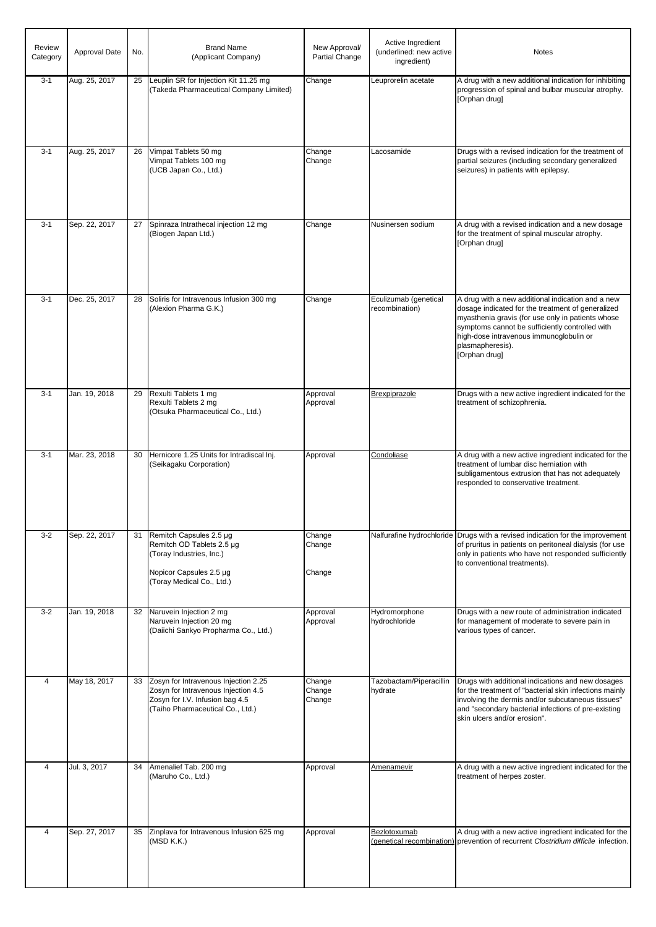| Review<br>Category | Approval Date | No. | <b>Brand Name</b><br>(Applicant Company)                                                                                                           | New Approval/<br>Partial Change | Active Ingredient<br>(underlined: new active<br>ingredient) | <b>Notes</b>                                                                                                                                                                                                                                                                                   |
|--------------------|---------------|-----|----------------------------------------------------------------------------------------------------------------------------------------------------|---------------------------------|-------------------------------------------------------------|------------------------------------------------------------------------------------------------------------------------------------------------------------------------------------------------------------------------------------------------------------------------------------------------|
| $3 - 1$            | Aug. 25, 2017 | 25  | Leuplin SR for Injection Kit 11.25 mg<br>(Takeda Pharmaceutical Company Limited)                                                                   | Change                          | Leuprorelin acetate                                         | A drug with a new additional indication for inhibiting<br>progression of spinal and bulbar muscular atrophy.<br>[Orphan drug]                                                                                                                                                                  |
| $3 - 1$            | Aug. 25, 2017 | 26  | Vimpat Tablets 50 mg<br>Vimpat Tablets 100 mg<br>(UCB Japan Co., Ltd.)                                                                             | Change<br>Change                | Lacosamide                                                  | Drugs with a revised indication for the treatment of<br>partial seizures (including secondary generalized<br>seizures) in patients with epilepsy.                                                                                                                                              |
| $3 - 1$            | Sep. 22, 2017 | 27  | Spinraza Intrathecal injection 12 mg<br>(Biogen Japan Ltd.)                                                                                        | Change                          | Nusinersen sodium                                           | A drug with a revised indication and a new dosage<br>for the treatment of spinal muscular atrophy.<br>[Orphan drug]                                                                                                                                                                            |
| $3 - 1$            | Dec. 25, 2017 | 28  | Soliris for Intravenous Infusion 300 mg<br>(Alexion Pharma G.K.)                                                                                   | Change                          | Eculizumab (genetical<br>recombination)                     | A drug with a new additional indication and a new<br>dosage indicated for the treatment of generalized<br>myasthenia gravis (for use only in patients whose<br>symptoms cannot be sufficiently controlled with<br>high-dose intravenous immunoglobulin or<br>plasmapheresis).<br>[Orphan drug] |
| $3 - 1$            | Jan. 19, 2018 | 29  | Rexulti Tablets 1 mg<br>Rexulti Tablets 2 mg<br>(Otsuka Pharmaceutical Co., Ltd.)                                                                  | Approval<br>Approval            | <b>Brexpiprazole</b>                                        | Drugs with a new active ingredient indicated for the<br>treatment of schizophrenia.                                                                                                                                                                                                            |
| $3 - 1$            | Mar. 23, 2018 | 30  | Hernicore 1.25 Units for Intradiscal Inj.<br>(Seikagaku Corporation)                                                                               | Approval                        | Condoliase                                                  | A drug with a new active ingredient indicated for the<br>treatment of lumbar disc herniation with<br>subligamentous extrusion that has not adequately<br>responded to conservative treatment.                                                                                                  |
| $3 - 2$            | Sep. 22, 2017 | 31  | Remitch Capsules 2.5 µg<br>Remitch OD Tablets 2.5 µg<br>(Toray Industries, Inc.)<br>Nopicor Capsules 2.5 µg<br>(Toray Medical Co., Ltd.)           | Change<br>Change<br>Change      |                                                             | Nalfurafine hydrochloride Drugs with a revised indication for the improvement<br>of pruritus in patients on peritoneal dialysis (for use<br>only in patients who have not responded sufficiently<br>to conventional treatments).                                                               |
| $3 - 2$            | Jan. 19, 2018 | 32  | Naruvein Injection 2 mg<br>Naruvein Injection 20 mg<br>(Daiichi Sankyo Propharma Co., Ltd.)                                                        | Approval<br>Approval            | Hydromorphone<br>hydrochloride                              | Drugs with a new route of administration indicated<br>for management of moderate to severe pain in<br>various types of cancer.                                                                                                                                                                 |
| $\overline{4}$     | May 18, 2017  | 33  | Zosyn for Intravenous Injection 2.25<br>Zosyn for Intravenous Injection 4.5<br>Zosyn for I.V. Infusion bag 4.5<br>(Taiho Pharmaceutical Co., Ltd.) | Change<br>Change<br>Change      | Tazobactam/Piperacillin<br>hydrate                          | Drugs with additional indications and new dosages<br>for the treatment of "bacterial skin infections mainly<br>involving the dermis and/or subcutaneous tissues"<br>and "secondary bacterial infections of pre-existing<br>skin ulcers and/or erosion".                                        |
| $\overline{4}$     | Jul. 3, 2017  | 34  | Amenalief Tab. 200 mg<br>(Maruho Co., Ltd.)                                                                                                        | Approval                        | Amenamevir                                                  | A drug with a new active ingredient indicated for the<br>treatment of herpes zoster.                                                                                                                                                                                                           |
| 4                  | Sep. 27, 2017 | 35  | Zinplava for Intravenous Infusion 625 mg<br>(MSD K.K.)                                                                                             | Approval                        | Bezlotoxumab                                                | A drug with a new active ingredient indicated for the<br>(genetical recombination) prevention of recurrent Clostridium difficile infection.                                                                                                                                                    |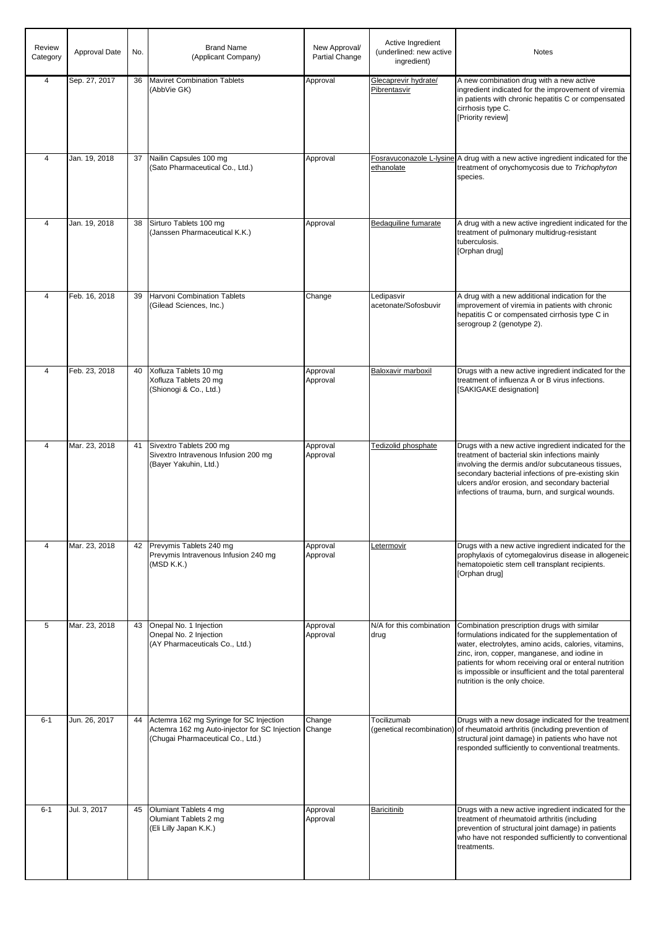| Review<br>Category | Approval Date | No. | <b>Brand Name</b><br>(Applicant Company)                                                                                      | New Approval/<br>Partial Change | Active Ingredient<br>(underlined: new active<br>ingredient) | <b>Notes</b>                                                                                                                                                                                                                                                                                                                                                  |
|--------------------|---------------|-----|-------------------------------------------------------------------------------------------------------------------------------|---------------------------------|-------------------------------------------------------------|---------------------------------------------------------------------------------------------------------------------------------------------------------------------------------------------------------------------------------------------------------------------------------------------------------------------------------------------------------------|
| $\overline{4}$     | Sep. 27, 2017 | 36  | <b>Maviret Combination Tablets</b><br>(AbbVie GK)                                                                             | Approval                        | Glecaprevir hydrate/<br>Pibrentasvir                        | A new combination drug with a new active<br>ingredient indicated for the improvement of viremia<br>in patients with chronic hepatitis C or compensated<br>cirrhosis type C.<br>[Priority review]                                                                                                                                                              |
| $\overline{4}$     | Jan. 19, 2018 | 37  | Nailin Capsules 100 mg<br>(Sato Pharmaceutical Co., Ltd.)                                                                     | Approval                        | ethanolate                                                  | Fosravuconazole L-lysine A drug with a new active ingredient indicated for the<br>treatment of onychomycosis due to Trichophyton<br>species.                                                                                                                                                                                                                  |
| $\overline{4}$     | Jan. 19, 2018 | 38  | Sirturo Tablets 100 mg<br>(Janssen Pharmaceutical K.K.)                                                                       | Approval                        | Bedaquiline fumarate                                        | A drug with a new active ingredient indicated for the<br>treatment of pulmonary multidrug-resistant<br>tuberculosis.<br>[Orphan drug]                                                                                                                                                                                                                         |
| $\overline{4}$     | Feb. 16, 2018 | 39  | <b>Harvoni Combination Tablets</b><br>(Gilead Sciences, Inc.)                                                                 | Change                          | Ledipasvir<br>acetonate/Sofosbuvir                          | A drug with a new additional indication for the<br>improvement of viremia in patients with chronic<br>hepatitis C or compensated cirrhosis type C in<br>serogroup 2 (genotype 2).                                                                                                                                                                             |
| $\overline{4}$     | Feb. 23, 2018 | 40  | Xofluza Tablets 10 mg<br>Xofluza Tablets 20 mg<br>(Shionogi & Co., Ltd.)                                                      | Approval<br>Approval            | Baloxavir marboxil                                          | Drugs with a new active ingredient indicated for the<br>treatment of influenza A or B virus infections.<br>[SAKIGAKE designation]                                                                                                                                                                                                                             |
| 4                  | Mar. 23, 2018 | 41  | Sivextro Tablets 200 mg<br>Sivextro Intravenous Infusion 200 mg<br>(Bayer Yakuhin, Ltd.)                                      | Approval<br>Approval            | Tedizolid phosphate                                         | Drugs with a new active ingredient indicated for the<br>treatment of bacterial skin infections mainly<br>involving the dermis and/or subcutaneous tissues,<br>secondary bacterial infections of pre-existing skin<br>ulcers and/or erosion, and secondary bacterial<br>infections of trauma, burn, and surgical wounds.                                       |
| $\overline{4}$     | Mar. 23, 2018 |     | 42 Prevymis Tablets 240 mg<br>Prevymis Intravenous Infusion 240 mg<br>(MSD K.K.)                                              | Approval<br>Approval            | Letermovir                                                  | Drugs with a new active ingredient indicated for the<br>prophylaxis of cytomegalovirus disease in allogeneic<br>hematopoietic stem cell transplant recipients.<br>[Orphan drug]                                                                                                                                                                               |
| 5                  | Mar. 23, 2018 | 43  | Onepal No. 1 Injection<br>Onepal No. 2 Injection<br>(AY Pharmaceuticals Co., Ltd.)                                            | Approval<br>Approval            | N/A for this combination<br>drug                            | Combination prescription drugs with similar<br>formulations indicated for the supplementation of<br>water, electrolytes, amino acids, calories, vitamins,<br>zinc, iron, copper, manganese, and iodine in<br>patients for whom receiving oral or enteral nutrition<br>is impossible or insufficient and the total parenteral<br>nutrition is the only choice. |
| $6 - 1$            | Jun. 26, 2017 | 44  | Actemra 162 mg Syringe for SC Injection<br>Actemra 162 mg Auto-injector for SC Injection<br>(Chugai Pharmaceutical Co., Ltd.) | Change<br>Change                | Tocilizumab                                                 | Drugs with a new dosage indicated for the treatment<br>(genetical recombination) of rheumatoid arthritis (including prevention of<br>structural joint damage) in patients who have not<br>responded sufficiently to conventional treatments.                                                                                                                  |
| $6 - 1$            | Jul. 3, 2017  | 45  | Olumiant Tablets 4 mg<br>Olumiant Tablets 2 mg<br>(Eli Lilly Japan K.K.)                                                      | Approval<br>Approval            | <b>Baricitinib</b>                                          | Drugs with a new active ingredient indicated for the<br>treatment of rheumatoid arthritis (including<br>prevention of structural joint damage) in patients<br>who have not responded sufficiently to conventional<br>treatments.                                                                                                                              |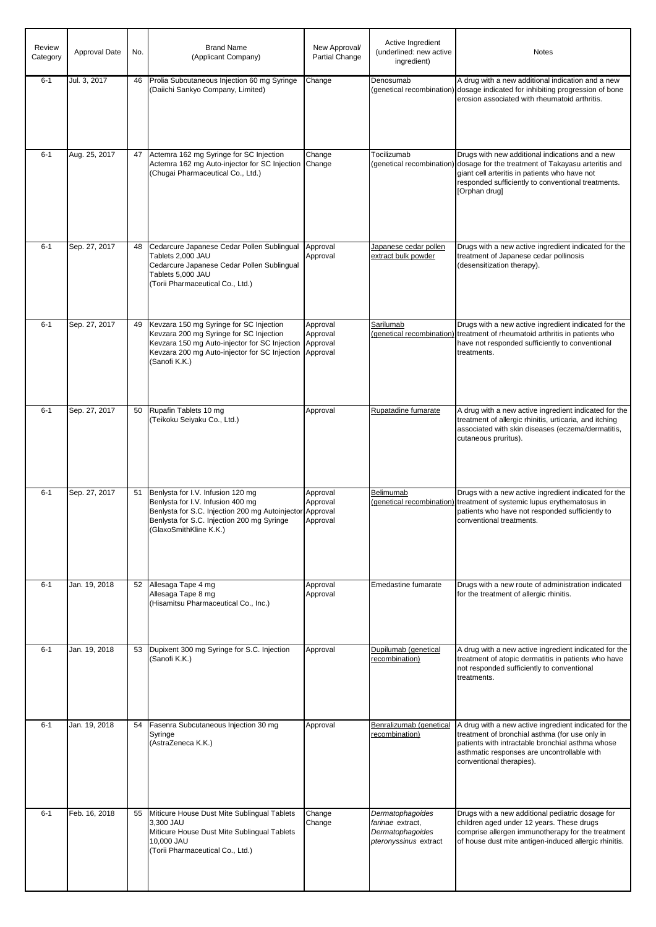| Review<br>Category | Approval Date | No. | <b>Brand Name</b><br>(Applicant Company)                                                                                                                                                              | New Approval/<br>Partial Change              | Active Ingredient<br>(underlined: new active<br>ingredient)                       | <b>Notes</b>                                                                                                                                                                                                                                            |
|--------------------|---------------|-----|-------------------------------------------------------------------------------------------------------------------------------------------------------------------------------------------------------|----------------------------------------------|-----------------------------------------------------------------------------------|---------------------------------------------------------------------------------------------------------------------------------------------------------------------------------------------------------------------------------------------------------|
| $6 - 1$            | Jul. 3, 2017  | 46  | Prolia Subcutaneous Injection 60 mg Syringe<br>(Daiichi Sankyo Company, Limited)                                                                                                                      | Change                                       | Denosumab                                                                         | A drug with a new additional indication and a new<br>(genetical recombination) dosage indicated for inhibiting progression of bone<br>erosion associated with rheumatoid arthritis.                                                                     |
| $6 - 1$            | Aug. 25, 2017 |     | 47 Actemra 162 mg Syringe for SC Injection<br>Actemra 162 mg Auto-injector for SC Injection<br>(Chugai Pharmaceutical Co., Ltd.)                                                                      | Change<br>Change                             | Tocilizumab                                                                       | Drugs with new additional indications and a new<br>(genetical recombination) dosage for the treatment of Takayasu arteritis and<br>giant cell arteritis in patients who have not<br>responded sufficiently to conventional treatments.<br>[Orphan drug] |
| $6 - 1$            | Sep. 27, 2017 | 48  | Cedarcure Japanese Cedar Pollen Sublingual<br>Tablets 2,000 JAU<br>Cedarcure Japanese Cedar Pollen Sublingual<br>Tablets 5,000 JAU<br>(Torii Pharmaceutical Co., Ltd.)                                | Approval<br>Approval                         | Japanese cedar pollen<br>extract bulk powder                                      | Drugs with a new active ingredient indicated for the<br>treatment of Japanese cedar pollinosis<br>(desensitization therapy).                                                                                                                            |
| $6 - 1$            | Sep. 27, 2017 | 49  | Kevzara 150 mg Syringe for SC Injection<br>Kevzara 200 mg Syringe for SC Injection<br>Kevzara 150 mg Auto-injector for SC Injection<br>Kevzara 200 mg Auto-injector for SC Injection<br>(Sanofi K.K.) | Approval<br>Approval<br>Approval<br>Approval | Sarilumab                                                                         | Drugs with a new active ingredient indicated for the<br>(genetical recombination) treatment of rheumatoid arthritis in patients who<br>have not responded sufficiently to conventional<br>treatments.                                                   |
| $6 - 1$            | Sep. 27, 2017 | 50  | Rupafin Tablets 10 mg<br>(Teikoku Seiyaku Co., Ltd.)                                                                                                                                                  | Approval                                     | Rupatadine fumarate                                                               | A drug with a new active ingredient indicated for the<br>treatment of allergic rhinitis, urticaria, and itching<br>associated with skin diseases (eczema/dermatitis,<br>cutaneous pruritus).                                                            |
| $6 - 1$            | Sep. 27, 2017 | 51  | Benlysta for I.V. Infusion 120 mg<br>Benlysta for I.V. Infusion 400 mg<br>Benlysta for S.C. Injection 200 mg Autoinjector<br>Benlysta for S.C. Injection 200 mg Syringe<br>(GlaxoSmithKline K.K.)     | Approval<br>Approval<br>Approval<br>Approval | Belimumab<br>(genetical recombination)                                            | Drugs with a new active ingredient indicated for the<br>treatment of systemic lupus erythematosus in<br>patients who have not responded sufficiently to<br>conventional treatments.                                                                     |
| $6 - 1$            | Jan. 19, 2018 |     | 52 Allesaga Tape 4 mg<br>Allesaga Tape 8 mg<br>(Hisamitsu Pharmaceutical Co., Inc.)                                                                                                                   | Approval<br>Approval                         | Emedastine fumarate                                                               | Drugs with a new route of administration indicated<br>for the treatment of allergic rhinitis.                                                                                                                                                           |
| $6 - 1$            | Jan. 19, 2018 |     | 53 Dupixent 300 mg Syringe for S.C. Injection<br>(Sanofi K.K.)                                                                                                                                        | Approval                                     | Dupilumab (genetical<br>recombination)                                            | A drug with a new active ingredient indicated for the<br>treatment of atopic dermatitis in patients who have<br>not responded sufficiently to conventional<br>treatments.                                                                               |
| $6 - 1$            | Jan. 19, 2018 | 54  | Fasenra Subcutaneous Injection 30 mg<br>Syringe<br>(AstraZeneca K.K.)                                                                                                                                 | Approval                                     | Benralizumab (genetical<br>recombination)                                         | A drug with a new active ingredient indicated for the<br>treatment of bronchial asthma (for use only in<br>patients with intractable bronchial asthma whose<br>asthmatic responses are uncontrollable with<br>conventional therapies).                  |
| $6 - 1$            | Feb. 16, 2018 |     | 55 Miticure House Dust Mite Sublingual Tablets<br>3,300 JAU<br>Miticure House Dust Mite Sublingual Tablets<br>10,000 JAU<br>(Torii Pharmaceutical Co., Ltd.)                                          | Change<br>Change                             | Dermatophagoides<br>farinae extract,<br>Dermatophagoides<br>pteronyssinus extract | Drugs with a new additional pediatric dosage for<br>children aged under 12 years. These drugs<br>comprise allergen immunotherapy for the treatment<br>of house dust mite antigen-induced allergic rhinitis.                                             |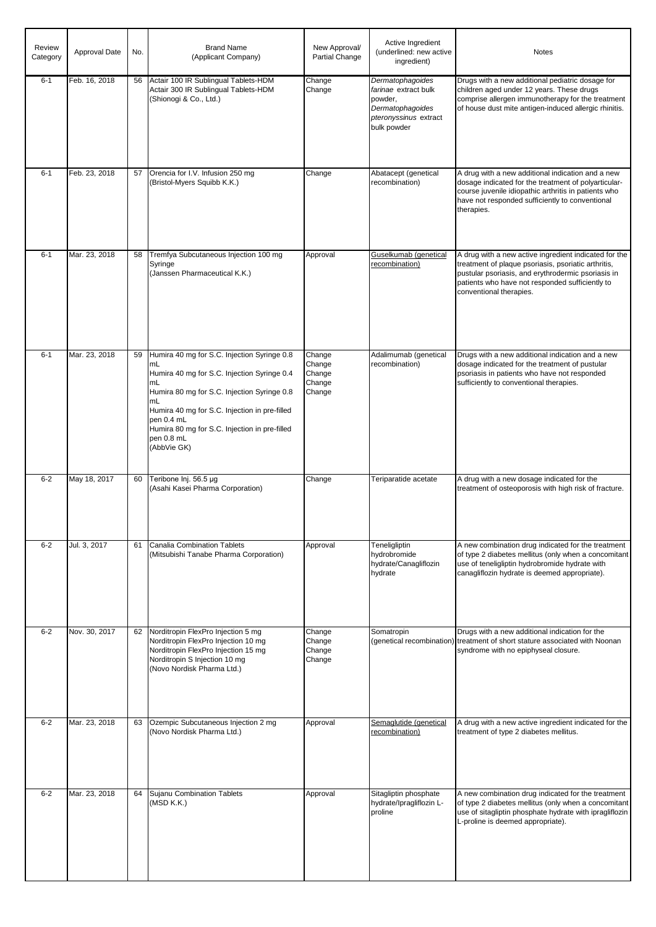| Review<br>Category | Approval Date | No. | <b>Brand Name</b><br>(Applicant Company)                                                                                                                                                                                                                                                                 | New Approval/<br>Partial Change                | Active Ingredient<br>(underlined: new active<br>ingredient)                                                     | <b>Notes</b>                                                                                                                                                                                                                                     |
|--------------------|---------------|-----|----------------------------------------------------------------------------------------------------------------------------------------------------------------------------------------------------------------------------------------------------------------------------------------------------------|------------------------------------------------|-----------------------------------------------------------------------------------------------------------------|--------------------------------------------------------------------------------------------------------------------------------------------------------------------------------------------------------------------------------------------------|
| $6 - 1$            | Feb. 16, 2018 | 56  | Actair 100 IR Sublingual Tablets-HDM<br>Actair 300 IR Sublingual Tablets-HDM<br>(Shionogi & Co., Ltd.)                                                                                                                                                                                                   | Change<br>Change                               | Dermatophagoides<br>farinae extract bulk<br>powder,<br>Dermatophagoides<br>pteronyssinus extract<br>bulk powder | Drugs with a new additional pediatric dosage for<br>children aged under 12 years. These drugs<br>comprise allergen immunotherapy for the treatment<br>of house dust mite antigen-induced allergic rhinitis.                                      |
| $6 - 1$            | Feb. 23, 2018 | 57  | Orencia for I.V. Infusion 250 mg<br>(Bristol-Myers Squibb K.K.)                                                                                                                                                                                                                                          | Change                                         | Abatacept (genetical<br>recombination)                                                                          | A drug with a new additional indication and a new<br>dosage indicated for the treatment of polyarticular-<br>course juvenile idiopathic arthritis in patients who<br>have not responded sufficiently to conventional<br>therapies.               |
| $6 - 1$            | Mar. 23, 2018 | 58  | Tremfya Subcutaneous Injection 100 mg<br>Syringe<br>(Janssen Pharmaceutical K.K.)                                                                                                                                                                                                                        | Approval                                       | Guselkumab (genetical<br>recombination)                                                                         | A drug with a new active ingredient indicated for the<br>treatment of plaque psoriasis, psoriatic arthritis,<br>pustular psoriasis, and erythrodermic psoriasis in<br>patients who have not responded sufficiently to<br>conventional therapies. |
| $6 - 1$            | Mar. 23, 2018 | 59  | Humira 40 mg for S.C. Injection Syringe 0.8<br>mL<br>Humira 40 mg for S.C. Injection Syringe 0.4<br>mL<br>Humira 80 mg for S.C. Injection Syringe 0.8<br>mL<br>Humira 40 mg for S.C. Injection in pre-filled<br>pen 0.4 mL<br>Humira 80 mg for S.C. Injection in pre-filled<br>pen 0.8 mL<br>(AbbVie GK) | Change<br>Change<br>Change<br>Change<br>Change | Adalimumab (genetical<br>recombination)                                                                         | Drugs with a new additional indication and a new<br>dosage indicated for the treatment of pustular<br>psoriasis in patients who have not responded<br>sufficiently to conventional therapies.                                                    |
| $6 - 2$            | May 18, 2017  | 60  | Teribone Inj. 56.5 µg<br>(Asahi Kasei Pharma Corporation)                                                                                                                                                                                                                                                | Change                                         | Teriparatide acetate                                                                                            | A drug with a new dosage indicated for the<br>treatment of osteoporosis with high risk of fracture.                                                                                                                                              |
| $6 - 2$            | Jul. 3, 2017  | 61  | Canalia Combination Tablets<br>(Mitsubishi Tanabe Pharma Corporation)                                                                                                                                                                                                                                    | Approval                                       | Teneligliptin<br>hydrobromide<br>hydrate/Canagliflozin<br>hydrate                                               | A new combination drug indicated for the treatment<br>of type 2 diabetes mellitus (only when a concomitant<br>use of teneligliptin hydrobromide hydrate with<br>canagliflozin hydrate is deemed appropriate).                                    |
| $6 - 2$            | Nov. 30, 2017 |     | 62 Norditropin FlexPro Injection 5 mg<br>Norditropin FlexPro Injection 10 mg<br>Norditropin FlexPro Injection 15 mg<br>Norditropin S Injection 10 mg<br>(Novo Nordisk Pharma Ltd.)                                                                                                                       | Change<br>Change<br>Change<br>Change           | Somatropin                                                                                                      | Drugs with a new additional indication for the<br>(genetical recombination) treatment of short stature associated with Noonan<br>syndrome with no epiphyseal closure.                                                                            |
| $6 - 2$            | Mar. 23, 2018 |     | 63 Ozempic Subcutaneous Injection 2 mg<br>(Novo Nordisk Pharma Ltd.)                                                                                                                                                                                                                                     | Approval                                       | Semaglutide (genetical<br>recombination)                                                                        | A drug with a new active ingredient indicated for the<br>treatment of type 2 diabetes mellitus.                                                                                                                                                  |
| $6 - 2$            | Mar. 23, 2018 |     | 64 Sujanu Combination Tablets<br>(MSD K.K.)                                                                                                                                                                                                                                                              | Approval                                       | Sitagliptin phosphate<br>hydrate/Ipragliflozin L-<br>proline                                                    | A new combination drug indicated for the treatment<br>of type 2 diabetes mellitus (only when a concomitant<br>use of sitagliptin phosphate hydrate with ipragliflozin<br>L-proline is deemed appropriate).                                       |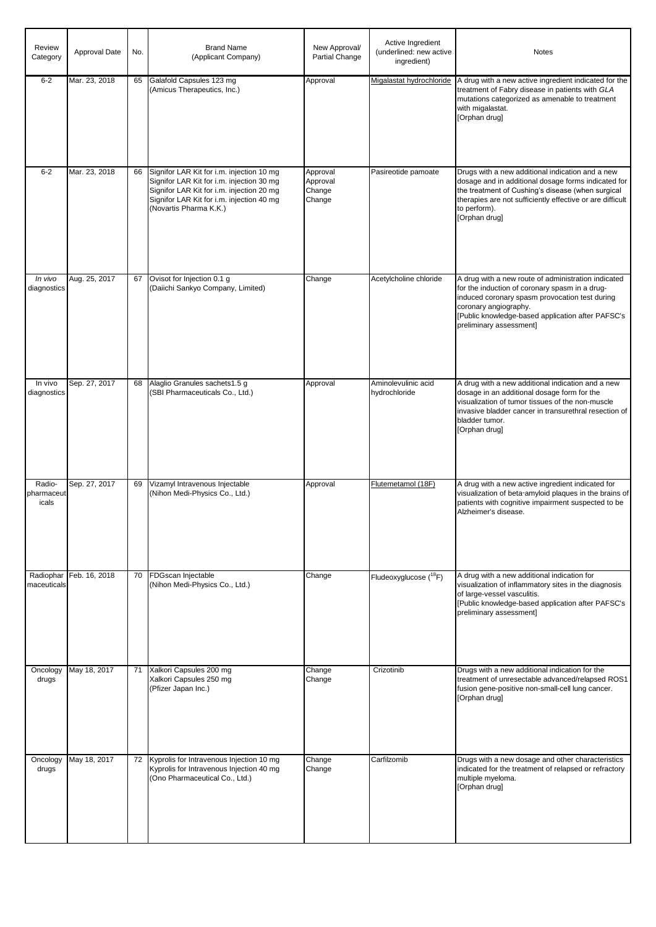| Review<br>Category            | <b>Approval Date</b> | No. | <b>Brand Name</b><br>(Applicant Company)                                                                                                                                                                   | New Approval/<br>Partial Change          | Active Ingredient<br>(underlined: new active<br>ingredient) | <b>Notes</b>                                                                                                                                                                                                                                                     |
|-------------------------------|----------------------|-----|------------------------------------------------------------------------------------------------------------------------------------------------------------------------------------------------------------|------------------------------------------|-------------------------------------------------------------|------------------------------------------------------------------------------------------------------------------------------------------------------------------------------------------------------------------------------------------------------------------|
| $6 - 2$                       | Mar. 23, 2018        | 65  | Galafold Capsules 123 mg<br>(Amicus Therapeutics, Inc.)                                                                                                                                                    | Approval                                 | Migalastat hydrochloride                                    | A drug with a new active ingredient indicated for the<br>treatment of Fabry disease in patients with GLA<br>mutations categorized as amenable to treatment<br>with migalastat.<br>[Orphan drug]                                                                  |
| $6 - 2$                       | Mar. 23, 2018        | 66  | Signifor LAR Kit for i.m. injection 10 mg<br>Signifor LAR Kit for i.m. injection 30 mg<br>Signifor LAR Kit for i.m. injection 20 mg<br>Signifor LAR Kit for i.m. injection 40 mg<br>(Novartis Pharma K.K.) | Approval<br>Approval<br>Change<br>Change | Pasireotide pamoate                                         | Drugs with a new additional indication and a new<br>dosage and in additional dosage forms indicated for<br>the treatment of Cushing's disease (when surgical<br>therapies are not sufficiently effective or are difficult<br>to perform).<br>[Orphan drug]       |
| In vivo<br>diagnostics        | Aug. 25, 2017        | 67  | Ovisot for Injection 0.1 g<br>(Daiichi Sankyo Company, Limited)                                                                                                                                            | Change                                   | Acetylcholine chloride                                      | A drug with a new route of administration indicated<br>for the induction of coronary spasm in a drug-<br>induced coronary spasm provocation test during<br>coronary angiography.<br>[Public knowledge-based application after PAFSC's<br>preliminary assessment] |
| In vivo<br>diagnostics        | Sep. 27, 2017        | 68  | Alaglio Granules sachets1.5 g<br>(SBI Pharmaceuticals Co., Ltd.)                                                                                                                                           | Approval                                 | Aminolevulinic acid<br>hydrochloride                        | A drug with a new additional indication and a new<br>dosage in an additional dosage form for the<br>visualization of tumor tissues of the non-muscle<br>invasive bladder cancer in transurethral resection of<br>bladder tumor.<br>[Orphan drug]                 |
| Radio-<br>pharmaceut<br>icals | Sep. 27, 2017        | 69  | Vizamyl Intravenous Injectable<br>(Nihon Medi-Physics Co., Ltd.)                                                                                                                                           | Approval                                 | Flutemetamol (18F)                                          | A drug with a new active ingredient indicated for<br>visualization of beta-amyloid plaques in the brains of<br>patients with cognitive impairment suspected to be<br>Alzheimer's disease.                                                                        |
| Radiophar<br>maceuticals      | Feb. 16, 2018        | 70  | FDGscan Injectable<br>(Nihon Medi-Physics Co., Ltd.)                                                                                                                                                       | Change                                   | Fludeoxyglucose ( <sup>18</sup> F)                          | A drug with a new additional indication for<br>visualization of inflammatory sites in the diagnosis<br>of large-vessel vasculitis.<br>[Public knowledge-based application after PAFSC's<br>preliminary assessment]                                               |
| Oncology<br>drugs             | May 18, 2017         | 71  | Xalkori Capsules 200 mg<br>Xalkori Capsules 250 mg<br>(Pfizer Japan Inc.)                                                                                                                                  | Change<br>Change                         | Crizotinib                                                  | Drugs with a new additional indication for the<br>treatment of unresectable advanced/relapsed ROS1<br>fusion gene-positive non-small-cell lung cancer.<br>[Orphan drug]                                                                                          |
| Oncology<br>drugs             | May 18, 2017         | 72  | Kyprolis for Intravenous Injection 10 mg<br>Kyprolis for Intravenous Injection 40 mg<br>(Ono Pharmaceutical Co., Ltd.)                                                                                     | Change<br>Change                         | Carfilzomib                                                 | Drugs with a new dosage and other characteristics<br>indicated for the treatment of relapsed or refractory<br>multiple myeloma.<br>[Orphan drug]                                                                                                                 |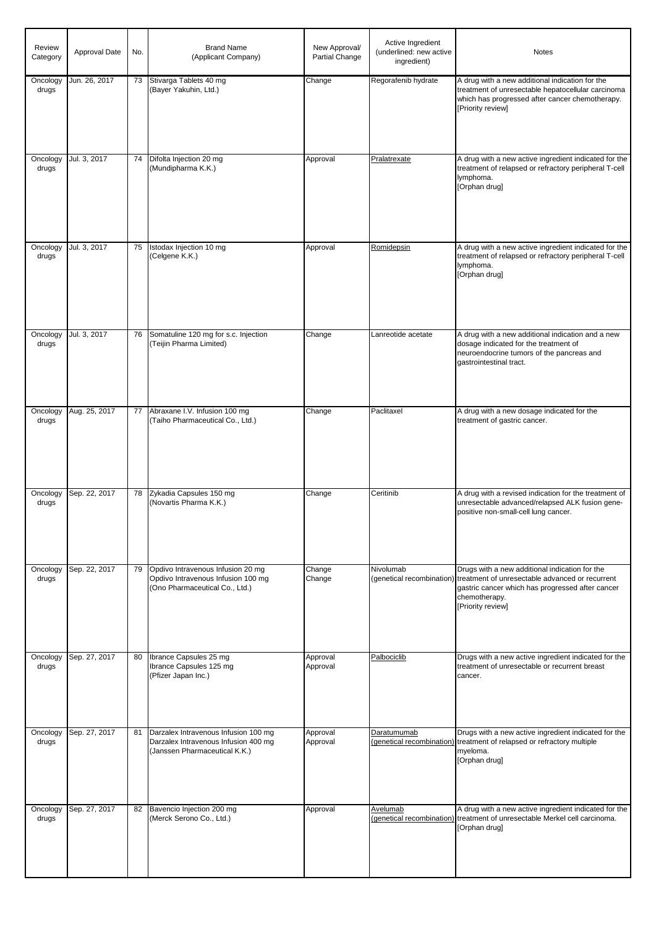| Review<br>Category | Approval Date | No. | <b>Brand Name</b><br>(Applicant Company)                                                                      | New Approval/<br>Partial Change | Active Ingredient<br>(underlined: new active<br>ingredient) | <b>Notes</b>                                                                                                                                                                                                          |
|--------------------|---------------|-----|---------------------------------------------------------------------------------------------------------------|---------------------------------|-------------------------------------------------------------|-----------------------------------------------------------------------------------------------------------------------------------------------------------------------------------------------------------------------|
| Oncology<br>drugs  | Jun. 26, 2017 | 73  | Stivarga Tablets 40 mg<br>(Bayer Yakuhin, Ltd.)                                                               | Change                          | Regorafenib hydrate                                         | A drug with a new additional indication for the<br>treatment of unresectable hepatocellular carcinoma<br>which has progressed after cancer chemotherapy.<br>[Priority review]                                         |
| Oncology<br>drugs  | Jul. 3, 2017  | 74  | Difolta Injection 20 mg<br>(Mundipharma K.K.)                                                                 | Approval                        | Pralatrexate                                                | A drug with a new active ingredient indicated for the<br>treatment of relapsed or refractory peripheral T-cell<br>lymphoma.<br>[Orphan drug]                                                                          |
| Oncology<br>drugs  | Jul. 3, 2017  | 75  | Istodax Injection 10 mg<br>(Celgene K.K.)                                                                     | Approval                        | Romidepsin                                                  | A drug with a new active ingredient indicated for the<br>treatment of relapsed or refractory peripheral T-cell<br>lymphoma.<br>[Orphan drug]                                                                          |
| Oncology<br>drugs  | Jul. 3, 2017  | 76  | Somatuline 120 mg for s.c. Injection<br>(Teijin Pharma Limited)                                               | Change                          | Lanreotide acetate                                          | A drug with a new additional indication and a new<br>dosage indicated for the treatment of<br>neuroendocrine tumors of the pancreas and<br>gastrointestinal tract.                                                    |
| Oncology<br>drugs  | Aug. 25, 2017 | 77  | Abraxane I.V. Infusion 100 mg<br>(Taiho Pharmaceutical Co., Ltd.)                                             | Change                          | Paclitaxel                                                  | A drug with a new dosage indicated for the<br>treatment of gastric cancer.                                                                                                                                            |
| Oncology<br>drugs  | Sep. 22, 2017 | 78  | Zykadia Capsules 150 mg<br>(Novartis Pharma K.K.)                                                             | Change                          | Ceritinib                                                   | A drug with a revised indication for the treatment of<br>unresectable advanced/relapsed ALK fusion gene-<br>positive non-small-cell lung cancer.                                                                      |
| Oncology<br>drugs  | Sep. 22, 2017 | 79  | Opdivo Intravenous Infusion 20 mg<br>Opdivo Intravenous Infusion 100 mg<br>(Ono Pharmaceutical Co., Ltd.)     | Change<br>Change                | Nivolumab                                                   | Drugs with a new additional indication for the<br>(genetical recombination) treatment of unresectable advanced or recurrent<br>gastric cancer which has progressed after cancer<br>chemotherapy.<br>[Priority review] |
| Oncology<br>drugs  | Sep. 27, 2017 | 80  | Ibrance Capsules 25 mg<br>Ibrance Capsules 125 mg<br>(Pfizer Japan Inc.)                                      | Approval<br>Approval            | Palbociclib                                                 | Drugs with a new active ingredient indicated for the<br>treatment of unresectable or recurrent breast<br>cancer.                                                                                                      |
| Oncology<br>drugs  | Sep. 27, 2017 | 81  | Darzalex Intravenous Infusion 100 mg<br>Darzalex Intravenous Infusion 400 mg<br>(Janssen Pharmaceutical K.K.) | Approval<br>Approval            | Daratumumab                                                 | Drugs with a new active ingredient indicated for the<br>(genetical recombination) treatment of relapsed or refractory multiple<br>myeloma.<br>[Orphan drug]                                                           |
| Oncology<br>drugs  | Sep. 27, 2017 | 82  | Bavencio Injection 200 mg<br>(Merck Serono Co., Ltd.)                                                         | Approval                        | Avelumab                                                    | A drug with a new active ingredient indicated for the<br>(genetical recombination) treatment of unresectable Merkel cell carcinoma.<br>[Orphan drug]                                                                  |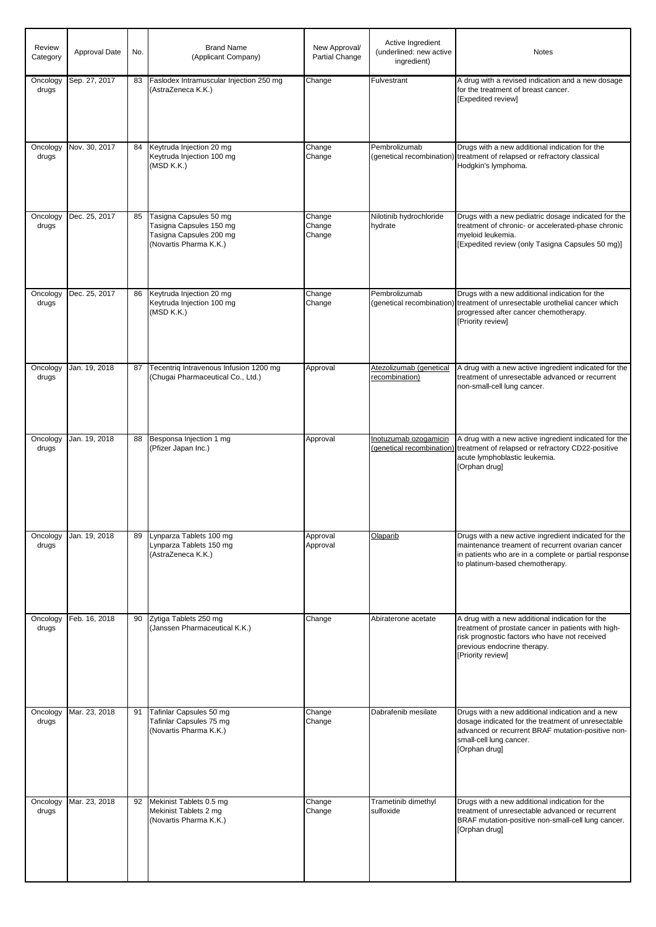| Review<br>Category | Approval Date | No. | <b>Brand Name</b><br>(Applicant Company)                                                               | New Approval/<br>Partial Change | Active Ingredient<br>(underlined: new active<br>ingredient) | <b>Notes</b>                                                                                                                                                                                                |
|--------------------|---------------|-----|--------------------------------------------------------------------------------------------------------|---------------------------------|-------------------------------------------------------------|-------------------------------------------------------------------------------------------------------------------------------------------------------------------------------------------------------------|
| Oncology<br>drugs  | Sep. 27, 2017 | 83  | Faslodex Intramuscular Injection 250 mg<br>(AstraZeneca K.K.)                                          | Change                          | Fulvestrant                                                 | A drug with a revised indication and a new dosage<br>for the treatment of breast cancer.<br>[Expedited review]                                                                                              |
| Oncology<br>drugs  | Nov. 30, 2017 | 84  | Keytruda Injection 20 mg<br>Keytruda Injection 100 mg<br>(MSD K.K.)                                    | Change<br>Change                | Pembrolizumab                                               | Drugs with a new additional indication for the<br>(genetical recombination) treatment of relapsed or refractory classical<br>Hodgkin's lymphoma.                                                            |
| Oncology<br>drugs  | Dec. 25, 2017 | 85  | Tasigna Capsules 50 mg<br>Tasigna Capsules 150 mg<br>Tasigna Capsules 200 mg<br>(Novartis Pharma K.K.) | Change<br>Change<br>Change      | Nilotinib hydrochloride<br>hydrate                          | Drugs with a new pediatric dosage indicated for the<br>treatment of chronic- or accelerated-phase chronic<br>myeloid leukemia.<br>[Expedited review (only Tasigna Capsules 50 mg)]                          |
| Oncology<br>drugs  | Dec. 25, 2017 | 86  | Keytruda Injection 20 mg<br>Keytruda Injection 100 mg<br>(MSD K.K.)                                    | Change<br>Change                | Pembrolizumab                                               | Drugs with a new additional indication for the<br>(genetical recombination) treatment of unresectable urothelial cancer which<br>progressed after cancer chemotherapy.<br>[Priority review]                 |
| Oncology<br>drugs  | Jan. 19, 2018 | 87  | Tecentriq Intravenous Infusion 1200 mg<br>(Chugai Pharmaceutical Co., Ltd.)                            | Approval                        | Atezolizumab (genetical<br>recombination)                   | A drug with a new active ingredient indicated for the<br>treatment of unresectable advanced or recurrent<br>non-small-cell lung cancer.                                                                     |
| Oncology<br>drugs  | Jan. 19, 2018 | 88  | Besponsa Injection 1 mg<br>(Pfizer Japan Inc.)                                                         | Approval                        | Inotuzumab ozogamicin<br>(genetical recombination)          | A drug with a new active ingredient indicated for the<br>treatment of relapsed or refractory CD22-positive<br>acute lymphoblastic leukemia.<br>[Orphan drug]                                                |
| Oncology<br>drugs  | Jan. 19, 2018 | 89  | Lynparza Tablets 100 mg<br>Lynparza Tablets 150 mg<br>(AstraZeneca K.K.)                               | Approval<br>Approval            | Olaparib                                                    | Drugs with a new active ingredient indicated for the<br>maintenance treament of recurrent ovarian cancer<br>in patients who are in a complete or partial response<br>to platinum-based chemotherapy.        |
| Oncology<br>drugs  | Feb. 16, 2018 | 90  | Zytiga Tablets 250 mg<br>(Janssen Pharmaceutical K.K.)                                                 | Change                          | Abiraterone acetate                                         | A drug with a new additional indication for the<br>treatment of prostate cancer in patients with high-<br>risk prognostic factors who have not received<br>previous endocrine therapy.<br>[Priority review] |
| Oncology<br>drugs  | Mar. 23, 2018 | 91  | Tafinlar Capsules 50 mg<br>Tafinlar Capsules 75 mg<br>(Novartis Pharma K.K.)                           | Change<br>Change                | Dabrafenib mesilate                                         | Drugs with a new additional indication and a new<br>dosage indicated for the treatment of unresectable<br>advanced or recurrent BRAF mutation-positive non-<br>small-cell lung cancer.<br>[Orphan drug]     |
| Oncology<br>drugs  | Mar. 23, 2018 | 92  | Mekinist Tablets 0.5 mg<br>Mekinist Tablets 2 mg<br>(Novartis Pharma K.K.)                             | Change<br>Change                | Trametinib dimethyl<br>sulfoxide                            | Drugs with a new additional indication for the<br>treatment of unresectable advanced or recurrent<br>BRAF mutation-positive non-small-cell lung cancer.<br>[Orphan drug]                                    |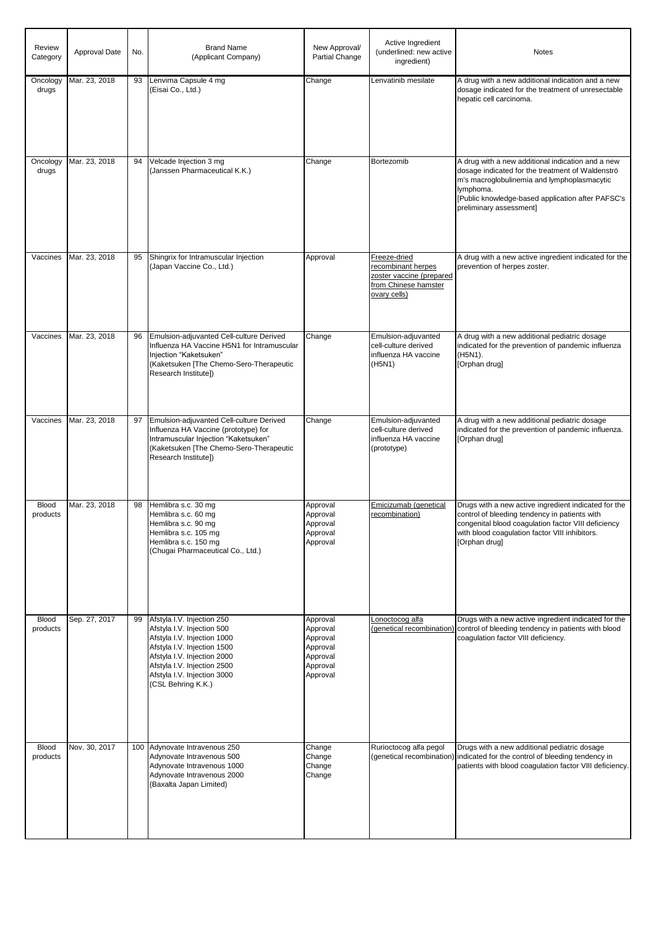| <b>Review</b><br>Category | <b>Approval Date</b> | No. | <b>Brand Name</b><br>(Applicant Company)                                                                                                                                                                                                  | New Approval/<br>Partial Change                                                  | Active Ingredient<br>(underlined: new active<br>ingredient)                                            | <b>Notes</b>                                                                                                                                                                                                                                      |
|---------------------------|----------------------|-----|-------------------------------------------------------------------------------------------------------------------------------------------------------------------------------------------------------------------------------------------|----------------------------------------------------------------------------------|--------------------------------------------------------------------------------------------------------|---------------------------------------------------------------------------------------------------------------------------------------------------------------------------------------------------------------------------------------------------|
| Oncology<br>drugs         | Mar. 23, 2018        | 93  | Lenvima Capsule 4 mg<br>(Eisai Co., Ltd.)                                                                                                                                                                                                 | Change                                                                           | Lenvatinib mesilate                                                                                    | A drug with a new additional indication and a new<br>dosage indicated for the treatment of unresectable<br>hepatic cell carcinoma.                                                                                                                |
| Oncology<br>drugs         | Mar. 23, 2018        | 94  | Velcade Injection 3 mg<br>(Janssen Pharmaceutical K.K.)                                                                                                                                                                                   | Change                                                                           | Bortezomib                                                                                             | A drug with a new additional indication and a new<br>dosage indicated for the treatment of Waldenströ<br>m's macroglobulinemia and lymphoplasmacytic<br>lymphoma.<br>[Public knowledge-based application after PAFSC's<br>preliminary assessment] |
| Vaccines                  | Mar. 23, 2018        | 95  | Shingrix for Intramuscular Injection<br>(Japan Vaccine Co., Ltd.)                                                                                                                                                                         | Approval                                                                         | Freeze-dried<br>recombinant herpes<br>zoster vaccine (prepared<br>from Chinese hamster<br>ovary cells) | A drug with a new active ingredient indicated for the<br>prevention of herpes zoster.                                                                                                                                                             |
| Vaccines                  | Mar. 23, 2018        | 96  | Emulsion-adjuvanted Cell-culture Derived<br>Influenza HA Vaccine H5N1 for Intramuscular<br>Injection "Kaketsuken"<br>(Kaketsuken [The Chemo-Sero-Therapeutic<br>Research Institute])                                                      | Change                                                                           | Emulsion-adjuvanted<br>cell-culture derived<br>influenza HA vaccine<br>(H5N1)                          | A drug with a new additional pediatric dosage<br>indicated for the prevention of pandemic influenza<br>(H5N1).<br>[Orphan drug]                                                                                                                   |
| Vaccines                  | Mar. 23, 2018        | 97  | Emulsion-adjuvanted Cell-culture Derived<br>Influenza HA Vaccine (prototype) for<br>Intramuscular Injection "Kaketsuken"<br>(Kaketsuken [The Chemo-Sero-Therapeutic<br>Research Institute])                                               | Change                                                                           | Emulsion-adjuvanted<br>cell-culture derived<br>influenza HA vaccine<br>(prototype)                     | A drug with a new additional pediatric dosage<br>indicated for the prevention of pandemic influenza.<br>[Orphan drug]                                                                                                                             |
| <b>Blood</b><br>products  | Mar. 23, 2018        | 98  | Hemlibra s.c. 30 mg<br>Hemlibra s.c. 60 mg<br>Hemlibra s.c. 90 mg<br>Hemlibra s.c. 105 mg<br>Hemlibra s.c. 150 mg<br>(Chugai Pharmaceutical Co., Ltd.)                                                                                    | Approval<br>Approval<br>Approval<br>Approval<br>Approval                         | Emicizumab (genetical<br>recombination)                                                                | Drugs with a new active ingredient indicated for the<br>control of bleeding tendency in patients with<br>congenital blood coagulation factor VIII deficiency<br>with blood coagulation factor VIII inhibitors.<br>[Orphan drug]                   |
| <b>Blood</b><br>products  | Sep. 27, 2017        | 99  | Afstyla I.V. Injection 250<br>Afstyla I.V. Injection 500<br>Afstyla I.V. Injection 1000<br>Afstyla I.V. Injection 1500<br>Afstyla I.V. Injection 2000<br>Afstyla I.V. Injection 2500<br>Afstyla I.V. Injection 3000<br>(CSL Behring K.K.) | Approval<br>Approval<br>Approval<br>Approval<br>Approval<br>Approval<br>Approval | Lonoctocog alfa<br>(genetical recombination)                                                           | Drugs with a new active ingredient indicated for the<br>control of bleeding tendency in patients with blood<br>coagulation factor VIII deficiency.                                                                                                |
| <b>Blood</b><br>products  | Nov. 30, 2017        | 100 | Adynovate Intravenous 250<br>Adynovate Intravenous 500<br>Adynovate Intravenous 1000<br>Adynovate Intravenous 2000<br>(Baxalta Japan Limited)                                                                                             | Change<br>Change<br>Change<br>Change                                             | Rurioctocog alfa pegol                                                                                 | Drugs with a new additional pediatric dosage<br>(genetical recombination) indicated for the control of bleeding tendency in<br>patients with blood coagulation factor VIII deficiency.                                                            |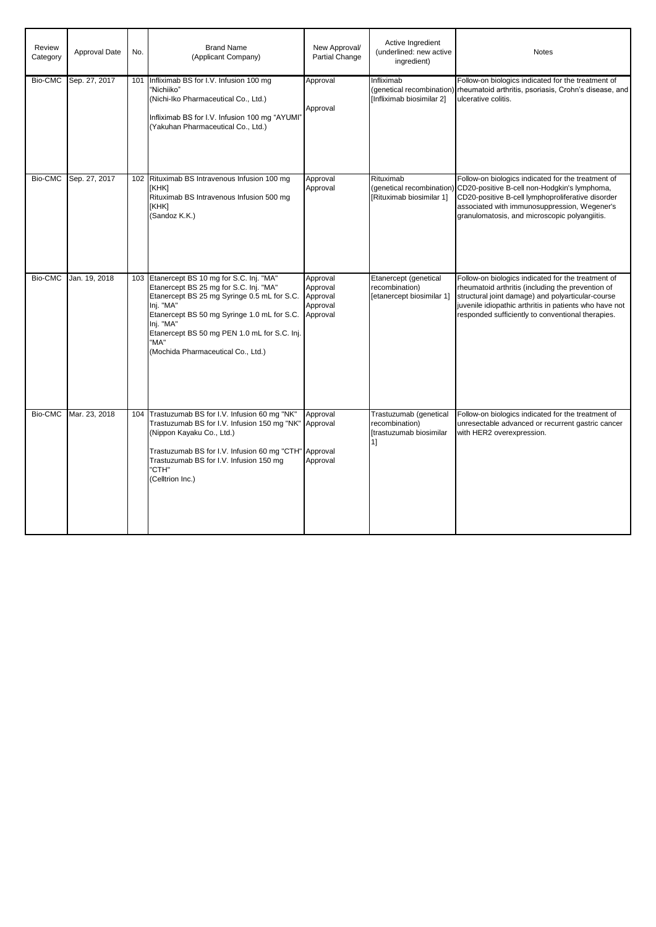| Review<br>Category | Approval Date | No. | <b>Brand Name</b><br>(Applicant Company)                                                                                                                                                                                                                                                                   | New Approval/<br>Partial Change                          | Active Ingredient<br>(underlined: new active<br>ingredient)               | <b>Notes</b>                                                                                                                                                                                                                                                                |
|--------------------|---------------|-----|------------------------------------------------------------------------------------------------------------------------------------------------------------------------------------------------------------------------------------------------------------------------------------------------------------|----------------------------------------------------------|---------------------------------------------------------------------------|-----------------------------------------------------------------------------------------------------------------------------------------------------------------------------------------------------------------------------------------------------------------------------|
| Bio-CMC            | Sep. 27, 2017 | 101 | Infliximab BS for I.V. Infusion 100 mg<br>"Nichiiko"<br>(Nichi-Iko Pharmaceutical Co., Ltd.)<br>Infliximab BS for I.V. Infusion 100 mg "AYUMI"<br>(Yakuhan Pharmaceutical Co., Ltd.)                                                                                                                       | Approval<br>Approval                                     | Infliximab<br>(genetical recombination)<br>[Infliximab biosimilar 2]      | Follow-on biologics indicated for the treatment of<br>rheumatoid arthritis, psoriasis, Crohn's disease, and<br>ulcerative colitis.                                                                                                                                          |
| Bio-CMC            | Sep. 27, 2017 |     | 102 Rituximab BS Intravenous Infusion 100 mg<br>[KHK]<br>Rituximab BS Intravenous Infusion 500 mg<br>[KHK]<br>(Sandoz K.K.)                                                                                                                                                                                | Approval<br>Approval                                     | Rituximab<br>(genetical recombination)<br>[Rituximab biosimilar 1]        | Follow-on biologics indicated for the treatment of<br>CD20-positive B-cell non-Hodgkin's lymphoma,<br>CD20-positive B-cell lymphoproliferative disorder<br>associated with immunosuppression, Wegener's<br>granulomatosis, and microscopic polyangiitis.                    |
| Bio-CMC            | Jan. 19, 2018 |     | 103 Etanercept BS 10 mg for S.C. Inj. "MA"<br>Etanercept BS 25 mg for S.C. Inj. "MA"<br>Etanercept BS 25 mg Syringe 0.5 mL for S.C.<br>Inj. "MA"<br>Etanercept BS 50 mg Syringe 1.0 mL for S.C.<br>Inj. "MA"<br>Etanercept BS 50 mg PEN 1.0 mL for S.C. Inj.<br>"MA"<br>(Mochida Pharmaceutical Co., Ltd.) | Approval<br>Approval<br>Approval<br>Approval<br>Approval | Etanercept (genetical<br>recombination)<br>[etanercept biosimilar 1]      | Follow-on biologics indicated for the treatment of<br>rheumatoid arthritis (including the prevention of<br>structural joint damage) and polyarticular-course<br>juvenile idiopathic arthritis in patients who have not<br>responded sufficiently to conventional therapies. |
| Bio-CMC            | Mar. 23, 2018 |     | 104 Trastuzumab BS for I.V. Infusion 60 mg "NK"<br>Trastuzumab BS for I.V. Infusion 150 mg "NK" Approval<br>(Nippon Kayaku Co., Ltd.)<br>Trastuzumab BS for I.V. Infusion 60 mg "CTH" Approval<br>Trastuzumab BS for I.V. Infusion 150 mg<br>"CTH"<br>(Celltrion Inc.)                                     | Approval<br>Approval                                     | Trastuzumab (genetical<br>recombination)<br>[trastuzumab biosimilar<br>1] | Follow-on biologics indicated for the treatment of<br>unresectable advanced or recurrent gastric cancer<br>with HER2 overexpression.                                                                                                                                        |